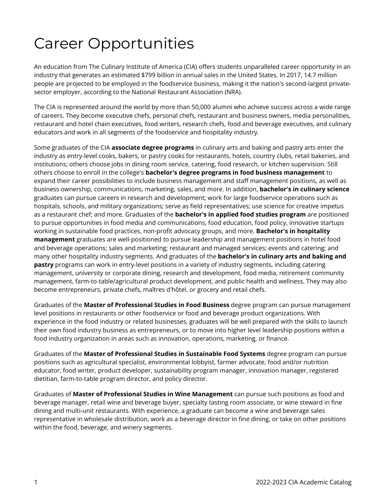## Career Opportunities

An education from The Culinary Institute of America (CIA) offers students unparalleled career opportunity in an industry that generates an estimated \$799 billion in annual sales in the United States. In 2017, 14.7 million people are projected to be employed in the foodservice business, making it the nation's second-largest privatesector employer, according to the National Restaurant Association (NRA).

The CIA is represented around the world by more than 50,000 alumni who achieve success across a wide range of careers. They become executive chefs, personal chefs, restaurant and business owners, media personalities, restaurant and hotel chain executives, food writers, research chefs, food and beverage executives, and culinary educators and work in all segments of the foodservice and hospitality industry.

Some graduates of the CIA **associate degree programs** in culinary arts and baking and pastry arts enter the industry as entry-level cooks, bakers, or pastry cooks for restaurants, hotels, country clubs, retail bakeries, and institutions; others choose jobs in dining room service, catering, food research, or kitchen supervision. Still others choose to enroll in the college's **bachelor's degree programs in food business management** to expand their career possibilities to include business management and staff management positions, as well as business ownership, communications, marketing, sales, and more. In addition, **bachelor's in culinary science**  graduates can pursue careers in research and development; work for large foodservice operations such as hospitals, schools, and military organizations; serve as field representatives; use science for creative impetus as a restaurant chef; and more. Graduates of the **bachelor's in applied food studies program** are positioned to pursue opportunities in food media and communications, food education, food policy, innovative startups working in sustainable food practices, non-profit advocacy groups, and more. **Bachelor's in hospitality management** graduates are well-positioned to pursue leadership and management positions in hotel food and beverage operations; sales and marketing; restaurant and managed services; events and catering; and many other hospitality industry segments. And graduates of the **bachelor's in culinary arts and baking and pastry** programs can work in entry-level positions in a variety of industry segments, including catering management, university or corporate dining, research and development, food media, retirement community management, farm-to-table/agricultural product development, and public health and wellness. They may also become entrepreneurs, private chefs, maîtres d'hôtel, or grocery and retail chefs.

Graduates of the **Master of Professional Studies in Food Business** degree program can pursue management level positions in restaurants or other foodservice or food and beverage product organizations. With experience in the food industry or related businesses, graduates will be well prepared with the skills to launch their own food industry business as entrepreneurs, or to move into higher level leadership positions within a food industry organization in areas such as innovation, operations, marketing, or finance.

Graduates of the **Master of Professional Studies in Sustainable Food Systems** degree program can pursue positions such as agricultural specialist, environmental lobbyist, farmer advocate, food and/or nutrition educator, food writer, product developer, sustainability program manager, innovation manager, registered dietitian, farm-to-table program director, and policy director.

Graduates of **Master of Professional Studies in Wine Management** can pursue such positions as food and beverage manager, retail wine and beverage buyer, specialty tasting room associate, or wine steward in fine dining and multi-unit restaurants. With experience, a graduate can become a wine and beverage sales representative in wholesale distribution, work as a beverage director in fine dining, or take on other positions within the food, beverage, and winery segments.